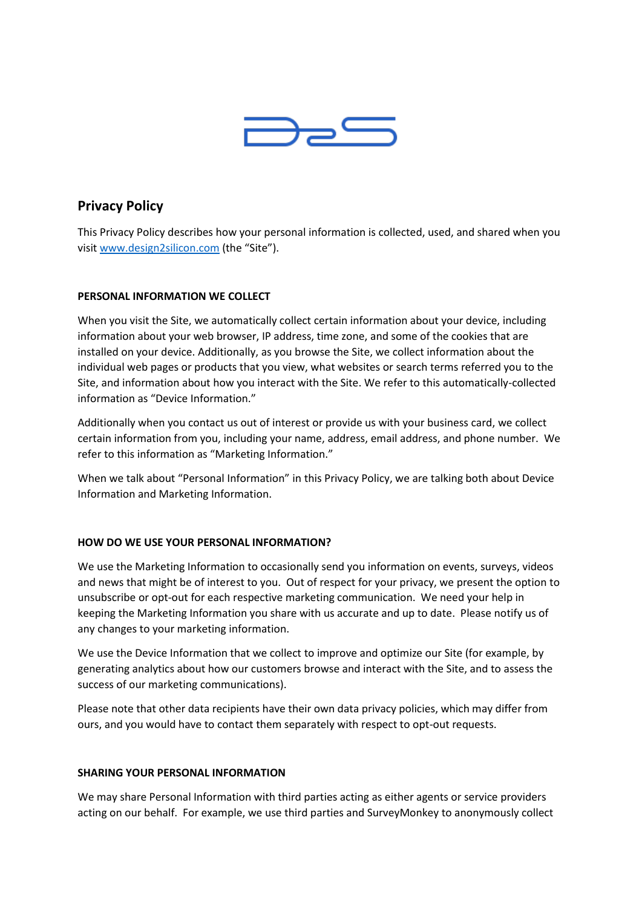

# **Privacy Policy**

This Privacy Policy describes how your personal information is collected, used, and shared when you visi[t www.design2silicon.com](http://www.design2silicon.com/) (the "Site").

# **PERSONAL INFORMATION WE COLLECT**

When you visit the Site, we automatically collect certain information about your device, including information about your web browser, IP address, time zone, and some of the cookies that are installed on your device. Additionally, as you browse the Site, we collect information about the individual web pages or products that you view, what websites or search terms referred you to the Site, and information about how you interact with the Site. We refer to this automatically-collected information as "Device Information."

Additionally when you contact us out of interest or provide us with your business card, we collect certain information from you, including your name, address, email address, and phone number. We refer to this information as "Marketing Information."

When we talk about "Personal Information" in this Privacy Policy, we are talking both about Device Information and Marketing Information.

# **HOW DO WE USE YOUR PERSONAL INFORMATION?**

We use the Marketing Information to occasionally send you information on events, surveys, videos and news that might be of interest to you. Out of respect for your privacy, we present the option to unsubscribe or opt-out for each respective marketing communication. We need your help in keeping the Marketing Information you share with us accurate and up to date. Please notify us of any changes to your marketing information.

We use the Device Information that we collect to improve and optimize our Site (for example, by generating analytics about how our customers browse and interact with the Site, and to assess the success of our marketing communications).

Please note that other data recipients have their own data privacy policies, which may differ from ours, and you would have to contact them separately with respect to opt-out requests.

## **SHARING YOUR PERSONAL INFORMATION**

We may share Personal Information with third parties acting as either agents or service providers acting on our behalf. For example, we use third parties and SurveyMonkey to anonymously collect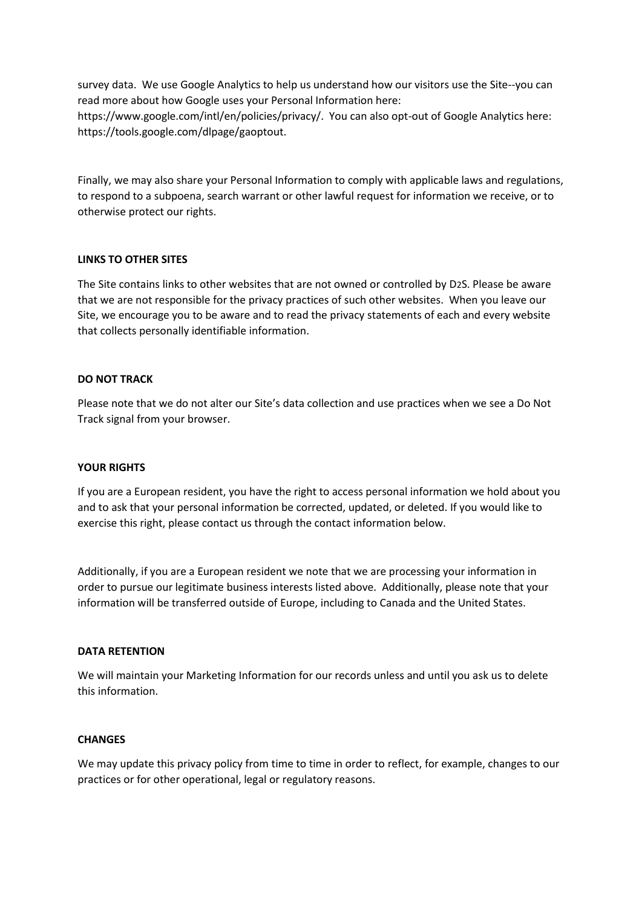survey data. We use Google Analytics to help us understand how our visitors use the Site--you can read more about how Google uses your Personal Information here: https://www.google.com/intl/en/policies/privacy/. You can also opt-out of Google Analytics here: https://tools.google.com/dlpage/gaoptout.

Finally, we may also share your Personal Information to comply with applicable laws and regulations, to respond to a subpoena, search warrant or other lawful request for information we receive, or to otherwise protect our rights.

## **LINKS TO OTHER SITES**

The Site contains links to other websites that are not owned or controlled by D2S. Please be aware that we are not responsible for the privacy practices of such other websites. When you leave our Site, we encourage you to be aware and to read the privacy statements of each and every website that collects personally identifiable information.

## **DO NOT TRACK**

Please note that we do not alter our Site's data collection and use practices when we see a Do Not Track signal from your browser.

## **YOUR RIGHTS**

If you are a European resident, you have the right to access personal information we hold about you and to ask that your personal information be corrected, updated, or deleted. If you would like to exercise this right, please contact us through the contact information below.

Additionally, if you are a European resident we note that we are processing your information in order to pursue our legitimate business interests listed above. Additionally, please note that your information will be transferred outside of Europe, including to Canada and the United States.

## **DATA RETENTION**

We will maintain your Marketing Information for our records unless and until you ask us to delete this information.

## **CHANGES**

We may update this privacy policy from time to time in order to reflect, for example, changes to our practices or for other operational, legal or regulatory reasons.